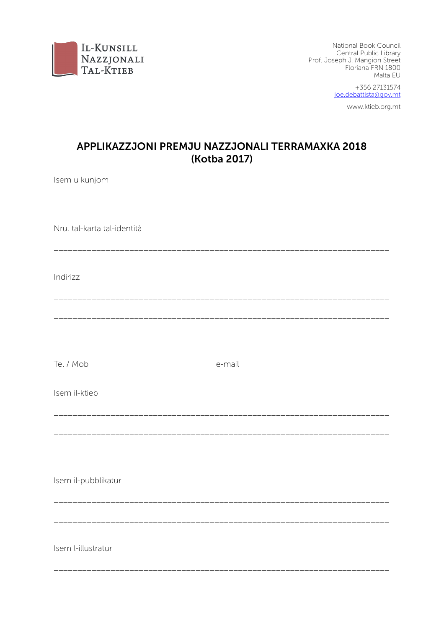

National Book Council Central Public Library<br>Central Public Library<br>Prof. Joseph J. Mangion Street Floriana FRN 1800 Malta EU

+356 27131574 joe.debattista@gov.mt

www.ktieb.org.mt

# APPLIKAZZJONI PREMJU NAZZJONALI TERRAMAXKA 2018 (Kotba 2017)

Isem u kunjom

| Nru. tal-karta tal-identità                    |  |
|------------------------------------------------|--|
| Indirizz<br><u>___________________________</u> |  |
|                                                |  |
|                                                |  |
| Isem il-ktieb                                  |  |
|                                                |  |
| Isem il-pubblikatur                            |  |
| Isem l-illustratur                             |  |
| ___________________________                    |  |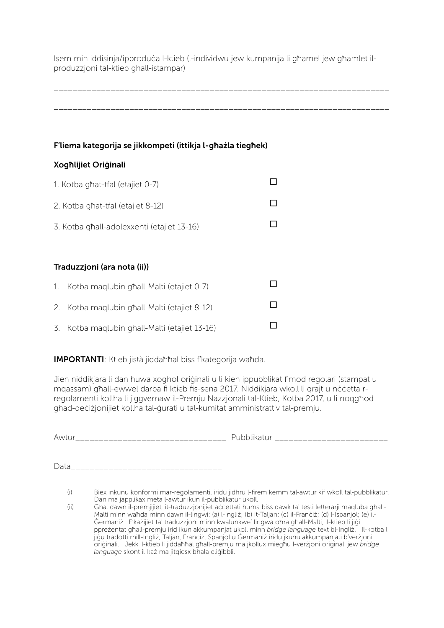Isem min iddisinja/ipproduċa l-ktieb (l-individwu jew kumpanija li għamel jew għamlet ilproduzzjoni tal-ktieb għall-istampar)

\_\_\_\_\_\_\_\_\_\_\_\_\_\_\_\_\_\_\_\_\_\_\_\_\_\_\_\_\_\_\_\_\_\_\_\_\_\_\_\_\_\_\_\_\_\_\_\_\_\_\_\_\_\_\_\_\_\_\_\_\_\_\_\_\_\_\_\_\_\_\_

\_\_\_\_\_\_\_\_\_\_\_\_\_\_\_\_\_\_\_\_\_\_\_\_\_\_\_\_\_\_\_\_\_\_\_\_\_\_\_\_\_\_\_\_\_\_\_\_\_\_\_\_\_\_\_\_\_\_\_\_\_\_\_\_\_\_\_\_\_\_\_

### F'liema kategorija se jikkompeti (ittikja l-għażla tiegħek)

#### Xogħlijiet Oriġinali

| 1. Kotba ghat-tfal (etajiet 0-7)           |  |
|--------------------------------------------|--|
| 2. Kotba ghat-tfal (etajiet 8-12)          |  |
| 3. Kotba ghall-adolexxenti (etajiet 13-16) |  |

#### Traduzzjoni (ara nota (ii))

| 1. Kotba maglubin ghall-Malti (etajiet 0-7)   |  |
|-----------------------------------------------|--|
| 2. Kotba maglubin ghall-Malti (etajiet 8-12)  |  |
| 3. Kotba maqlubin ghall-Malti (etajiet 13-16) |  |

IMPORTANTI: Ktieb jistà jiddaħħal biss f'kategorija waħda.

Jien niddikjara li dan huwa xogħol oriġinali u li kien ippubblikat f'mod regolari (stampat u mgassam) għall-ewwel darba fi ktieb fis-sena 2017. Niddikjara wkoll li grajt u nċċetta rregolamenti kollha li jiggvernaw il-Premju Nazzjonali tal-Ktieb, Kotba 2017, u li noqgħod ghad-deċiżjonijiet kollha tal-ġurati u tal-kumitat amministrattiv tal-premju.

Awtur\_\_\_\_\_\_\_\_\_\_\_\_\_\_\_\_\_\_\_\_\_\_\_\_\_\_\_\_\_\_\_\_ Pubblikatur \_\_\_\_\_\_\_\_\_\_\_\_\_\_\_\_\_\_\_\_\_\_\_\_

Data\_\_\_\_\_\_\_\_\_\_\_\_\_\_\_\_\_\_\_\_\_\_\_\_\_\_\_\_\_\_\_\_

<sup>(</sup>i) Biex inkunu konformi mar-regolamenti, iridu jidhru l-firem kemm tal-awtur kif wkoll tal-pubblikatur. Dan ma japplikax meta l-awtur ikun il-pubblikatur ukoll.

<sup>(</sup>ii) Għal dawn il-premjijiet, it-traduzzjonijiet aċċettati huma biss dawk ta' testi letterarji maqluba għall-Malti minn waħda minn dawn il-lingwi: (a) l-Ingliż; (b) it-Taljan; (c) il-Franċiż; (d) l-Ispanjol; (e) il-Ġermaniż. F'każijiet ta' traduzzjoni minn kwalunkwe' lingwa oħra għall-Malti, il-ktieb li jiġi ppreżentat għall-premju irid ikun akkumpanjat ukoll minn *bridge language* text bl-Ingliż. Il-kotba li jiġu tradotti mill-Ingliż, Taljan, Franċiż, Spanjol u Ġermaniż iridu jkunu akkumpanjati b'verżjoni oriġinali. Jekk il-ktieb li jiddaħħal għall-premju ma jkollux miegħu l-verżjoni oriġinali jew *bridge language* skont il-każ ma jitqiesx bħala eliġibbli.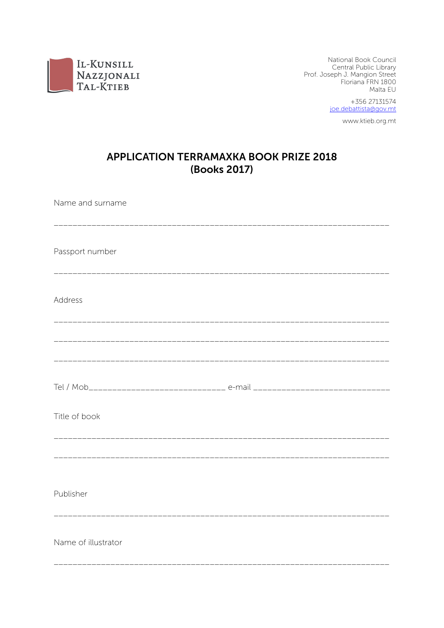

National Book Council Central Public Library Prof. Joseph J. Mangion Street Floriana FRN 1800 Malta EU

> +356 27131574 joe.debattista@gov.mt

> > www.ktieb.org.mt

## **APPLICATION TERRAMAXKA BOOK PRIZE 2018** (Books 2017)

Name and surname Passport number Address Title of book Publisher \_\_\_\_\_\_\_\_\_\_\_\_\_\_\_\_\_\_\_\_\_\_\_\_\_ Name of illustrator